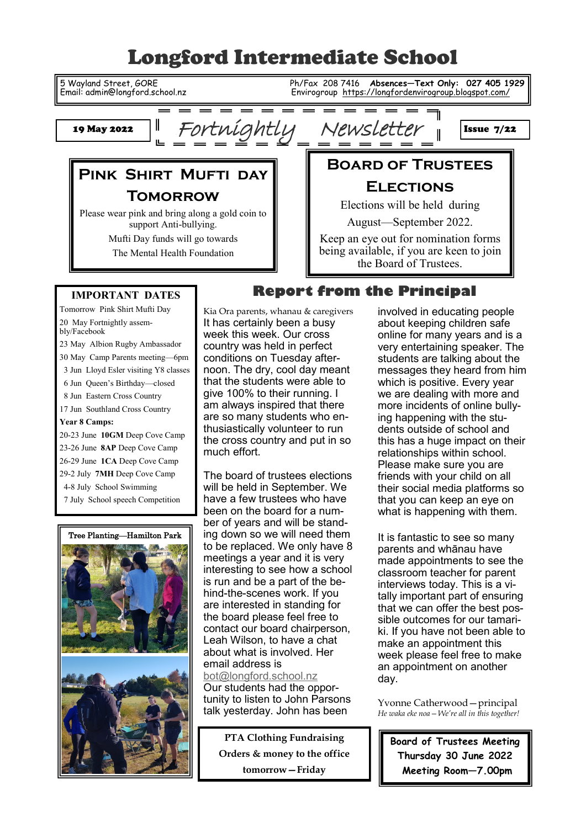# Longford Intermediate School

**For**Fortnightly Newsletter

5 Wayland Street, GORE Ph/Fax 208 7416 **Absences—Text Only: 027 405 1929**  Email: admin@longford.school.nz Envirogroup <https://longfordenvirogroup.blogspot.com/>

٦ı

 $\mathbf I$ 

Issue 7/22

19 May 2022

## **Pink Shirt Mufti day Tomorrow**

I

Ľ

Please wear pink and bring along a gold coin to support Anti-bullying.

Mufti Day funds will go towards

The Mental Health Foundation

## **Elections** Elections will be held during

August—September 2022.

**Board of Trustees**

Keep an eye out for nomination forms being available, if you are keen to join the Board of Trustees.

#### **IMPORTANT DATES**

Tomorrow Pink Shirt Mufti Day 20 May Fortnightly assembly/Facebook 23 May Albion Rugby Ambassador 30 May Camp Parents meeting—6pm 3 Jun Lloyd Esler visiting Y8 classes 6 Jun Queen's Birthday—closed 8 Jun Eastern Cross Country 17 Jun Southland Cross Country **Year 8 Camps:** 20-23 June **10GM** Deep Cove Camp 23-26 June **8AP** Deep Cove Camp 26-29 June **1CA** Deep Cove Camp 29-2 July **7MH** Deep Cove Camp 4-8 July School Swimming 7 July School speech Competition



Kia Ora parents, whanau & caregivers

It has certainly been a busy week this week. Our cross country was held in perfect conditions on Tuesday afternoon. The dry, cool day meant that the students were able to give 100% to their running. I am always inspired that there are so many students who enthusiastically volunteer to run the cross country and put in so much effort.

The board of trustees elections will be held in September. We have a few trustees who have been on the board for a number of years and will be standing down so we will need them to be replaced. We only have 8 meetings a year and it is very interesting to see how a school is run and be a part of the behind-the-scenes work. If you are interested in standing for the board please feel free to contact our board chairperson, Leah Wilson, to have a chat about what is involved. Her email address is [bot@longford.school.nz](mailto:bot@longford.school.nz)

Our students had the opportunity to listen to John Parsons talk yesterday. John has been

**PTA Clothing Fundraising Orders & money to the office tomorrow—Friday**

# **Report from the Principal**

involved in educating people about keeping children safe online for many years and is a very entertaining speaker. The students are talking about the messages they heard from him which is positive. Every year we are dealing with more and more incidents of online bullying happening with the students outside of school and this has a huge impact on their relationships within school. Please make sure you are friends with your child on all their social media platforms so that you can keep an eye on what is happening with them.

It is fantastic to see so many parents and whānau have made appointments to see the classroom teacher for parent interviews today. This is a vitally important part of ensuring that we can offer the best possible outcomes for our tamariki. If you have not been able to make an appointment this week please feel free to make an appointment on another day.

Yvonne Catherwood—principal *He waka eke noa—We're all in this together!*

**Board of Trustees Meeting Thursday 30 June 2022 Meeting Room—7.00pm**